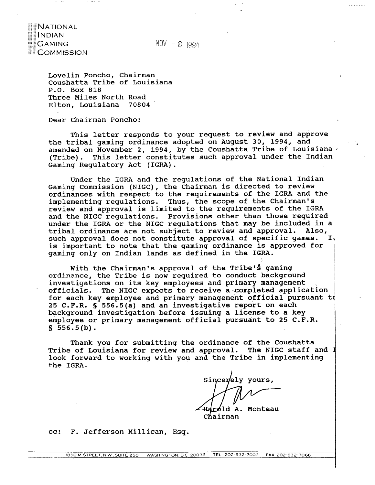

 $NOV - 8$  1994

Lovelin Poncho, Chairman Coushatta Tribe of Louisiana P.O. Box 818 Three Miles North Road Elton, Louisiana 70804

Dear Chairman Poncho:

This letter responds to your request to review and approve the tribal gaming ordinance adopted on August 30, 1994, and amended on November 2, 1994, by the Coushatta Tribe of Louisiana . (Tribe). This letter constitutes such approval under the Indian Gaming Regulatory Act (IGRA).

Under the IGRA and the regulations of the National Indian Gaming Commission (NIGC), the chairman is directed to review ordinances with respect to the requirements of the IGRA and the implementing regulations. Thus, the scope of the Chairman's review and approval is limited to the requirements of the IGRA and the NIGC regulations. Provisions other than those required under the IGRA or the NIGC regulations that may be included in a tribal ordinance are not subject to review and approval. Also, such approval does not constitute approval of specific games. I, is important to note that the gaming ordinance is approved for gaming only on Indian lands as defined in the IGRA.

With the Chairman's approval of the Tribe's gaming i ordinance, the Tribe is now required to conduct background<br>investigations on its key employees and primary management officials. The NIGC expects to receive a completed application for each key employee and primary management official pursuant t 25 C.F.R. **5** 556.5(a) and an investigative report on each background investigation before issuing a license to a key employee or primary management official pursuant to 25 C.F.R.  $$556.5(b).$ 

Thank you for submitting the ordinance of the Coushatta Tribe of Louisiana for review and approval. The NIGC staff and I look forward to working with you and the Tribe in implementing the IGRA.

Sincerely yours,

I

À.

<del>Haro</del>ld A. Monteau<br>Chairman

cc: F. Jeffersori Millican, Esq.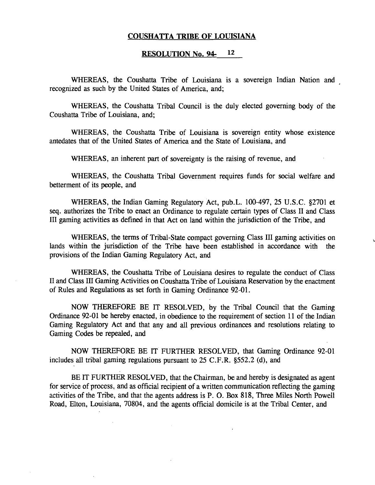#### **COUSHATTA TRIBE OF LOUISIANA**

### **RESOLUTION NO. 94- 12**

WHEREAS, the Coushatta Tribe of Louisiana is a sovereign Indian Nation and recognized as such by the United States of America, and;

WHEREAS, the Coushatta Tribal Council is the duly elected governing body of the Coushatta Tribe of Louisiana, and;

WHEREAS, the Coushatta Tribe of Louisiana is sovereign entity whose existence antedates that of the United States of America and the State of Louisiana, and

WHEREAS, an inherent part of sovereignty is the raising of revenue, and

WHEREAS, the Coushatta Tribal Government requires funds for social welfare and betterment of its people, and

WHEREAS, the Indian Gaming Regulatory Act, pub.L. 100-497, 25 U.S.C. \$2701 et seq. authorizes the Tribe to enact an Ordinance to regulate certain types of Class I1 and Class I11 gaming activities as defined in that Act on land within the jurisdiction of the Tribe, and

WHEREAS, the terms of Tribal-State compact governing Class III gaming activities on lands within the jurisdiction of the Tribe have been established in accordance with the provisions of the Indian Gaming Regulatory Act, and

WHEREAS, the Coushatta Tribe of Louisiana desires to regulate the conduct of Class **I1** and Class I11 Gaming Activities on Coushatta. Tribe of Louisiana Reservation by the enactment of Rules and Regulations as set forth in Gaming Ordinance 92-01.

NOW THEREFORE BE IT RESOLVED, by the Tribal Council that the Gaming Ordinance 92-01 be hereby enacted, in obedience to the requirement of section 11 of the Indian Gaming Regulatory Act and that any and all previous ordinances and resolutions relating to Gaming Codes be repealed, and

NOW THEREFORE BE IT' FURTHER RESOLVED, that Gaming Ordinance 92-01 includes all tribal gaming regulations pursuant to 25 C.F.R. §552.2 (d), and

BE IT **FURTHER** RESOLVED, that the Chairman, be and hereby is designated as agent for service of process, and as official recipient of a written communication reflecting the gaming activities of the Tribe, and that the agents address is P. **0.** Box 818, Three Miles North Powell Road, Elton, Louisiana, 70804, and the agents official domicile is at the Tribal Center, and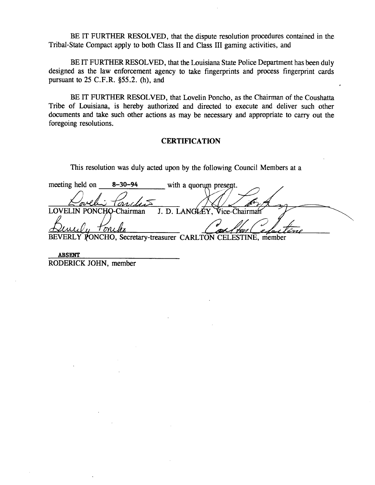BE IT FURTHER RESOLVED, that the dispute resolution procedures contained in the Tribal-State Compact apply to both Class **I1** and Class **I11** gaming activities, and

BE IT FURTHER RESOLVED, that the Louisiana State Police Department has been duly designed as the law enforcement agency to take fingerprints and process fingerprint cards pursuant to  $25$  C.F.R.  $\S 55.2$ . (h), and

BE IT FURTHER RESOLVED, that Lovelin Poncho, as the Chairman of the Coushatta Tribe of Louisiana, is hereby authorized and directed to execute and deliver such other documents and take such other actions as may be necessary and appropriate to carry out the foregoing resolutions.

## **CERTIFICATION**

This resolution was duly acted upon by the following Council Members at a

meeting held on 8-30-94 with a quorum present. LOVELIN PONCHO-Chairman J. D. LANGLEY, Vice-Chairman <u> Toni</u> BEVERLY PONCHO, Secretary-treasurer CARLTON CELESTINE, member

**ABSENT**  RODERICK JOHN, member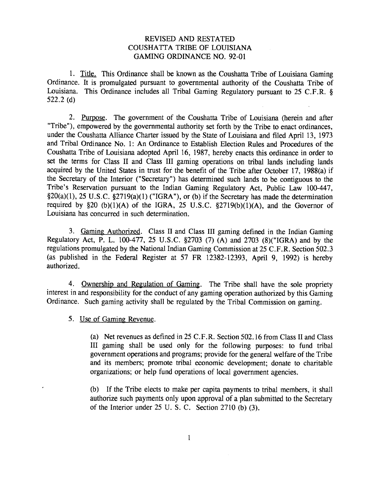# REVISED AND RESTATED COUSHATTA TRIBE OF LOUISIANA GAMING ORDINANCE NO. 92-01

1. Title. This Ordinance shall be known as the Coushatta Tribe of Louisiana Gaming Ordinance. It is promulgated pursuant to governmental authority of the Coushatta Tribe of Louisiana. This Ordinance includes all Tribal Gaming Regulatory pursuant to 25 C.F.R. **8**  522.2 (d)

2. Purpose. The government of the Coushatta Tribe of Louisiana (herein and after "Tribe"), empowered by the governmental authority set forth by the Tribe to enact ordinances, under the Coushatta Alliance Charter issued by the State of Louisiana and filed April 13, 1973 and Tribal Ordinance No. 1: An Ordinance to Establish Election Rules and Procedures of the Coushatta Tribe of Louisiana adopted April 16, 1987, hereby enacts this ordinance in order to set the terms for Class I1 and Class I11 gaming operations on tribal lands including lands acquired by the United States in trust for the benefit of the Tribe after October 17, 1988(a) if the Secretary of the Interior ("Secretary") has determined such lands to be contiguous to the Tribe's Reservation pursuant to the Indian Gaming Regulatory Act, Public Law 100-447,  $$20(a)(1), 25 U.S.C. $2719(a)(1)$  ("IGRA"), or (b) if the Secretary has made the determination required by  $$20 (b)(1)(A)$  of the IGRA, 25 U.S.C.  $$2719(b)(1)(A)$ , and the Governor of Louisiana has concurred in such determination.

3. Gaming Authorized. Class I1 and Class I11 gaming defined in the Indian Gaming Regulatory Act, P. L. 100-477, 25 U.S.C. \$2703 (7) (A) and 2703 (8)("IGRA) and by the regulations promulgated by the National Indian Gaming Commission at 25 C.F.R. Section 502.3 (as published in the Federal Register at 57 FR 12382-12393, April 9, 1992) is hereby authorized.

4. Ownership and Regulation of Gaming. The Tribe shall have the sole propriety interest in and responsibility for the conduct of any gaming operation authorized by this Gaming Ordinance. Such gaming activity shall be regulated by the Tribal Commission on gaming.

5. Use of Gaming Revenue.

(a) Net revenues as defined in 25 C. F.R. Section 502.16 from Class I1 and Class I11 gaming shall be used only for the following purposes: to fund tribal government operations and programs; provide for the general welfare of the Tribe and its members; promote tribal economic development; donate to charitable organizations; or help fund operations of local government agencies.

(b) If the Tribe elects to make per capita payments to tribal members, it shall authorize such payments only upon approval of a plan submitted to the Secretary of the Interior under 25 U. S. C. Section 2710 (b) (3).

 $\mathbf{1}$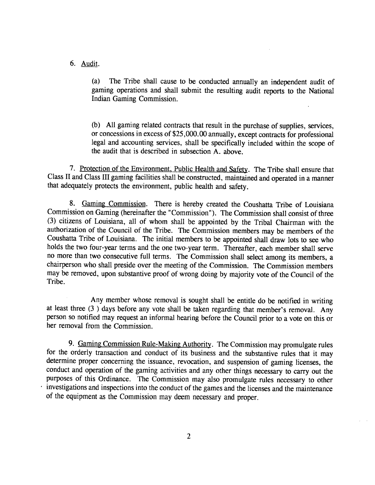## 6. Audit.

(a) The Tribe shall cause to be conducted annually an independent audit of gaming operations and shall submit the resulting audit reports to the National Indian Gaming Commission.

(b) All gaming related contracts that result in the purchase of supplies, services, or concessions in excess of \$25,000.00 annually, except contracts for professional legal and accounting services, shall be specifically included within the scope of the audit that is described in subsection A. above.

7. Protection of the Environment. Public Health and Safety. The Tribe shall ensure that Class **I1** and Class **I11** gaming facilities shall be constructed, maintained and operated in a manner that adequately protects the environment, public health and safety.

8. Gaming Commission. There is hereby created the Coushatta Tribe of Louisiana Commission on Gaming (hereinafter the "Commission"). The Commission shall consist of three (3) citizens of Louisiana, all of whom shall be appointed by the Tribal Chairman with the authorization of the Council of the Tribe. The Commission members may be members of the Coushatta Tribe of Louisiana. The initial members to be appointed shall draw lots to see who holds the two four-year terms and the one two-year term. Thereafter, each member shall serve no more than two consecutive full terms. The Commission shall select among its members, a chairperson who shall preside over the meeting of the Commission. The Commission members may be removed, upon substantive proof of wrong doing by majority vote of the Council of the Tribe.

Any member whose removal is sought shall be entitle do be notified in writing at least three (3 ) days before any vote shall be taken regarding that member's removal. Any person so notified may request an informal hearing before the Council prior to a vote on this or her removal from the Commission.

9. Gaming Commission Rule-Making Authority. The Commission may promulgate rules for the orderly transaction and conduct of its business and the substantive rules that it may determine proper concerning the issuance, revocation, and suspension of gaming licenses, the conduct and operation of the gaming activities and any other things necessary to carry out the purposes of this Ordinance. The Commission may also promulgate rules necessary to other investigations and inspections into the conduct of the games and the licenses and the maintenance of the equipment as the Commission may deem necessary and proper.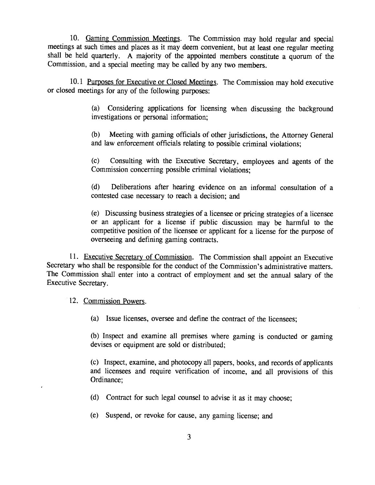10. Gaming Commission Meetings. The Commission may hold regular and special meetings at such times and places as it may deem convenient, but at least one regular meeting shall be held quarterly. A majority of the appointed members constitute a quorum of the Commission, and a special meeting may be called by any two members.

10.1 Purposes for Executive or Closed Meetings. The Commission may hold executive or closed meetings for any of the following purposes:

> (a) Considering applications for licensing when discussing the background investigations or personal information;

> (b) Meeting with gaming officials of other jurisdictions, the Attorney General and law enforcement officials relating to possible criminal violations;

> (c) Consulting with the Executive Secretary, employees and agents of the Commission concerning possible criminal violations;

> (d) Deliberations after hearing evidence on an informal consultation of a contested case necessary to reach a decision; and

> (e) Discussing business strategies of a licensee or pricing strategies of a licensee or an applicant for a license if public discussion may be harmful to the competitive position of the licensee or applicant for a license for the purpose of overseeing and defining gaming contracts.

11. Executive Secretary of Commission. The Commission shall appoint an Executive Secretary who shall be responsible for the conduct of the Commission's administrative matters. The Commission shall enter into a contract of employment and set the annual salary of the Executive Secretary.

12. Commission Powers.

(a) Issue licenses, oversee and define the contract of the licensees;

(b) Inspect and examine all premises where gaming is conducted or gaming devises or equipment are sold or distributed;

(c) Inspect, examine, and photocopy all papers, books, and records of applicants and licensees and require verification of income, and all provisions of this Ordinance;

- (d) Contract for such legal counsel to advise it as it may choose;
- *(e)* Suspend, or revoke for cause, any gaming license; and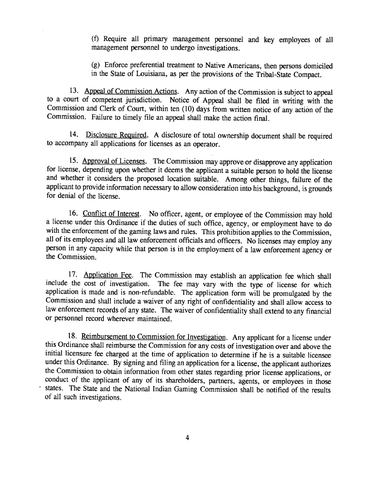(f) Require all primary management personnel and key employees of all management personnel to undergo investigations.

(g) Enforce preferential treatment to Native Americans, then persons domiciled in the State of Louisiana, as per the provisions of the Tribal-State Compact.

13. Appeal of Commission Actions. Any action of the Commission is subject to appeal to a court of competent jurisdiction. Notice of Appeal shall be filed in writing with the Commission and Clerk of Court, within ten (10) days from written notice of any action of the Commission. Failure to timely file an appeal shall make the action final.

14. Disclosure Reauired. **A** disclosure of total ownership document shall be required to accompany all applications for licenses as an operator.

15. Approval of Licenses. The Commission may approve or disapprove any application for license, depending upon whether it deems the applicant a suitable person to hold the license and whether it considers the proposed location suitable. Among other things, failure of the applicant to provide information necessary to allow consideration into his background, is grounds for denial of the license.

16. Conflict of Interest. No officer, agent, or employee of the Commission may hold a license under this Ordinance if the duties of such office, agency, or employment have to do with the enforcement of the gaming laws and rules. This prohibition applies to the Commission, all of its employees and all law enforcement officials and officers. No licenses may employ any person in any capacity while that person is in the employment of a law enforcement agency or the Commission.

17. Application **Fee.** The Commission may establish an application **fee** which shall include the cost of investigation. The fee may vary with the type of license for which application is made and is non-refundable. The application form will be promulgated by the Commission and shall include a waiver of any right of confidentiality and shall allow access to law enforcement records of any state. The waiver of confidentiality shall extend to any financial or personnel record wherever maintained.

18. Reimbursement to Commission for Investigation. Any applicant for a license under this Ordinance shall reimburse the Commission for any costs of investigation over and above the initial licensure fee charged at the time of application to determine if he is a suitable licensee under this Ordinance. By signing and filing an application for a license, the applicant authorizes the Commission to obtain information from other states regarding prior license applications, or conduct of the applicant of any of its shareholders, partners, agents, or employees in those states. The State and the National Indian Gaming Commission shall be notified of the results of all such investigations.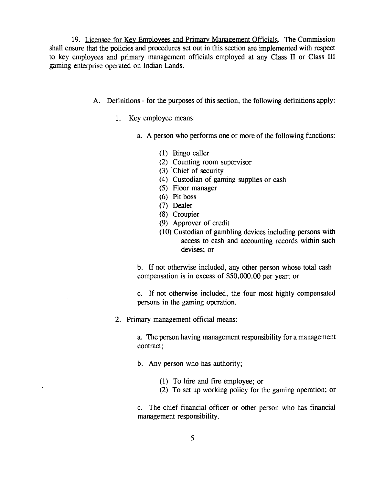19. Licensee for Kev Employees and Primary Manapement Officials. The Commission shall ensure that the policies and procedures set out in this section are implemented with respect to key employees and primary management officials employed at any Class **I1** or Class **I11**  gaming enterprise operated on Indian Lands.

- A. Definitions for the purposes of this section, the following definitions apply:
	- 1. Key employee means:
		- a. A person who performs one or more of the following functions:
			- (1) Bingo caller
			- (2) Counting room supervisor
			- **(3)** ' Chief of security
			- (4) Custodian of gaming supplies or cash
			- *(5)* Floor manager
			- (6) Pit boss
			- **(7)** Dealer
			- (8) Croupier
			- (9) Approver of credit
			- (10) Custodian of gambling devices including persons with access to cash and accounting records within such devises; or

b. If not otherwise included, any other person whose total cash compensation is in excess of \$50,000.00 per year; or

c. If not otherwise included, the four most highly compensated persons in the gaming operation.

2. Primary management official means:

a. The person having management responsibility for a management contract;

- b. Any person who has authority;
	- (1) To hire and fire employee; or
	- (2) To set up working policy for the gaming operation; or

c. The chief financial officer or other person who has financial management responsibility.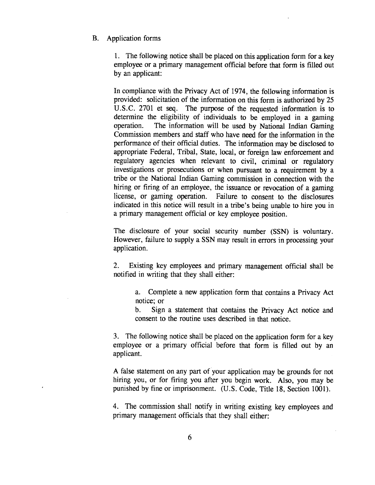## B. Application forms

1. The following notice shall be placed on this application form for a key employee or a primary management official before that form is filled out by an applicant:

In compliance with the Privacy Act of 1974, the following information is provided: solicitation of the information on this form is authorized by 25 U.S.C. 2701 et seq. The purpose of the requested information is to determine the eligibility of individuals to be employed in a gaming operation. The information will be used by National Indian Gaming Commission members and staff who have need for the information in the performance of their official duties. The information may be disclosed to appropriate Federal, Tribal, State, local, or foreign law enforcement and regulatory agencies when relevant to civil, criminal or regulatory investigations or prosecutions or when pursuant to a requirement by a tribe or the National Indian Gaming commission in connection with the hiring or firing of an employee, the issuance or revocation of a gaming license, or gaming operation. Failure to consent to the disclosures indicated in this notice will result in a tribe's being unable to hire you in a primary management official or key employee position.

The disclosure of your social security number (SSN) is voluntary. However, failure to supply a SSN may result in errors in processing your application.

*2.* Existing key employees and primary management official shall be notified in writing that they shall either:

> a. Complete a new application form that contains a Privacy Act notice; or

> b. Sign a statement that contains the Privacy Act notice and consent to the routine uses described in that notice.

**3.** The following notice shall be placed on the application form for a key employee or a primary official before that form is filled out by an applicant.

A false statement on any part of'your application may be grounds for not hiring you, or for firing you after you begin work. Also, you may be punished by fine or imprisonment. (U.S. Code, Title 18, Section 1001).

4. The commission shall notify in writing existing key employees and primary management officials that they shall either: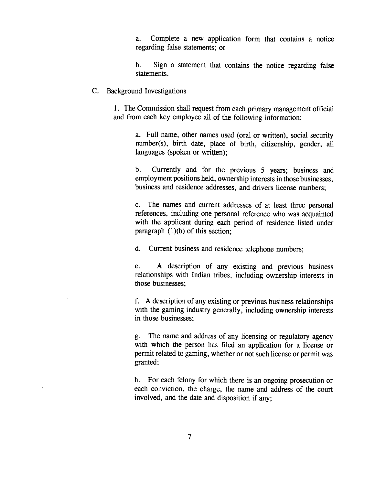a. Complete a new application form that contains a notice regarding false statements; or

b. Sign a statement that contains the notice regarding false statements.

#### C. Background Investigations

1. The Commission shall request from each primary management official and from each key employee all of the following information:

> a. Full name, other names used (oral or written), social security number(s), birth date, place of birth, citizenship, gender, all languages (spoken or written);

> b. Currently and for the previous 5 years; business and employment positions held, ownership interests in those businesses, business and residence addresses, and drivers license numbers;

> c. The names and current addresses of at least three personal references, including one personal reference who was acquainted with the applicant during each period of residence listed under paragraph  $(1)(b)$  of this section;

d. Current business and residence telephone numbers;

e. A description of any existing and previous business relationships with Indian tribes, including ownership interests in those businesses;

f. A description of any existing or previous business relationships with the gaming industry generally, including ownership interests in those businesses;

g. The name and address of any licensing or regulatory agency with which the person has filed an application for a license or permit related to gaming, whether or not such license or permit was granted;

h. For each felony for which there is an ongoing prosecution or each conviction, the charge, the name and address of the court involved, and the date and disposition if any;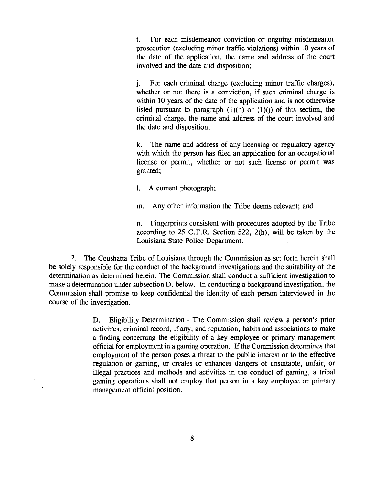i. For each misdemeanor conviction or ongoing misdemeanor prosecution (excluding minor traffic violations) within 10 years of the date of the application, the name and address of the court involved and the date and disposition;

j. For each criminal charge (excluding minor traffic charges), whether or not there is a conviction, if such criminal charge is within 10 years of the date of the application and is not otherwise listed pursuant to paragraph  $(1)(h)$  or  $(1)(j)$  of this section, the criminal charge, the name and address of the court involved and the date and disposition;

k. The name and address of any licensing or regulatory agency with which the person has filed an application for an occupational license or permit, whether or not such license or permit was granted;

- 1. A current photograph;
- m. Any other information the Tribe deems relevant; and

n. Fingerprints consistent with procedures adopted by the Tribe according to 25 C.F.R. Section 522, 2(h), will be taken by the Louisiana State Police Department.

**2.** The Coushatta Tribe of Louisiana through the Commission as set forth herein shall be solely responsible for the conduct of the background investigations and the suitability of the determination as determined herein. The Commission shall conduct a sufficient investigation to make a determination under subsection D. below. In conducting a background investigation, the Commission shall promise to keep confidential the identity of each person interviewed in the course of the investigation.

> **D.** Eligibility Determination - The Commission shall review a person's prior activities, criminal record, if any, and reputation, habits and associations to make a finding concerning the eligibility of a key employee or primary management official for employment in a gaming operation. If the Commission determines that employment of the person poses a threat to the public interest or to the effective regulation or gaming, or creates or enhances dangers of unsuitable, unfair, or illegal practices and methods and activities in the conduct of gaming, a tribal gaming operations shall not employ that person in a key employee or primary management official position.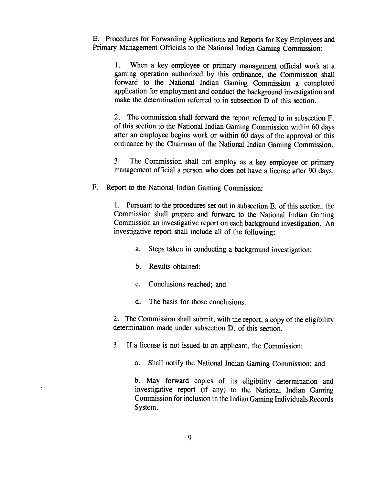E. Procedures for Forwarding Applications and Reports for Key Employees and Primary Management Officials to the National Indian Gaming Commission:

1. When a key employee or primary management official work at a gaming operation authorized by this ordinance, the Commission shall forward to the National Indian Gaming Commission a completed application for employment and conduct the background investigation and make the determination referred to in subsection D of this section.

2. The commission shall forward the report referred to in subsection F. of this section to the National Indian Gaming Commission within 60 days after an employee begins work or within 60 days of the approval of this ordinance by the Chairman of the National Indian Gaming Commission.

3. The Commission shall not employ as a key employee or primary management official a person who does not have a license after 90 days.

F. Report to the National Indian Gaming Commission:

1. Pursuant to the procedures set out in subsection E. of this section, the Commission shall prepare and forward to the National Indian Gaming Commission an investigative report on each background investigation. An investigative report shall include all of the following:

a. Steps taken in conducting a background investigation;

b. Results obtained;

c. Conclusions reached; and

d. The basis for those conclusions.

2. The Commission shall submit, with the report, a copy of the eligibility determination made under subsection D. of this section.

**3.** If a license is not issued to an applicant, the Commission:

a. Shall notify the National Indian Gaming Commission; and

b. May forward copies of its eligibility determination and investigative report (if any) to the National Indian Gaming Commission for inclusion in the Indian Gaming Individuals Records System.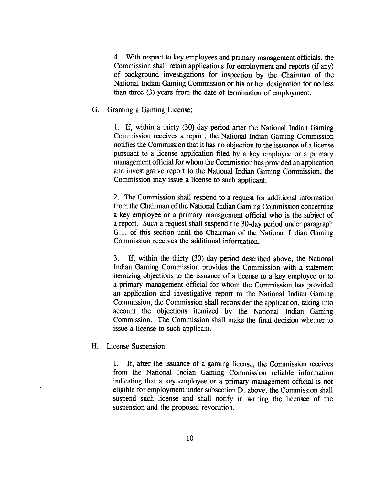4. With respect to key employees and primary management officials, the Commission shall retain applications for employment and reports (if any) of background investigations for inspection by the Chairman of the National Indian Gaming Commission or his or her designation for no less than three (3) years from the date of termination of employment.

# G. Granting a Gaming License:

1. If, within a thirty **(30)** day period after the National Indian Gaming Commission receives a report, the National Indian Gaming Commission notifies the Commission that it has no objection to the issuance of a license pursuant to a license application filed by a key employee or a primary management official for whom the Commission has provided an application and investigative report to the National Indian Gaming Commission, the Commission may issue a license to such applicant.

2. The Commission shall respond to a request for additional information from the Chairman of the National Indian Gaming Commission concerning a key employee or a primary management official who is the subject of a report. Such a request shall suspend the 30-day period under paragraph G. 1. of this section until the Chairman of the National Indian Gaming Commission receives the additional information.

3. If, within the thirty (30) day period described above, the National Indian Gaming Commission provides the Commission with a statement itemizing objections to the issuance of a license to a key employee or to a primary management official for whom the Commission has provided an application and investigative report to the National Indian Gaming Commission, the Commission shall reconsider the application, taking into account the objections itemized by the National Indian Gaming Commission. The Commission shall make the final decision whether to issue a license to such applicant.

H. License Suspension:

1. If, after the issuance of a gaming license, the Commission receives from the National Indian Gaming Commission reliable information indicating that a key employee or a primary management official is not eligible for employment under subsection D. above, the Commission shall suspend such license and shall notify in writing the licensee of the suspension and the proposed revocation.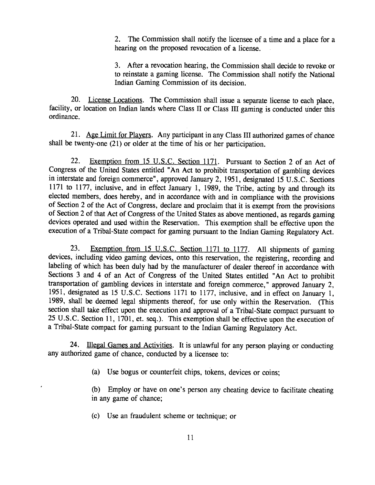2. The Commission shall notify the licensee of a time and a place for a hearing on the proposed revocation of a license. .

3. After a revocation hearing, the Commission shall decide to revoke or to reinstate a gaming license. The Commission shall notify the National Indian Gaming Commission of its decision.

20. License Locations. The Commission shall issue a separate license to each place, facility, or location on Indian lands where Class I1 or Class **I11** gaming is conducted under this ordinance.

21. Age Limit for Players. Any participant in any Class III authorized games of chance shall be twenty-one (21) or older at the time of his or her participation.

22. Exemption from 15 U.S.C. Section 1171. Pursuant to Section 2 of an Act of Congress of the United States entitled "An Act to prohibit transportation of gambling devices in interstate and foreign commerce", approved January 2, 1951, designated 15 U.S.C. Sections 1171 to 1177, inclusive, and in effect January 1, 1989, the Tribe, acting by and through its elected members, does hereby, and in accordance with and in compliance with the provisions of Section 2 of the Act of Congress, declare and proclaim that it is exempt from the provisions of Section 2 of that Act of Congress of the United States as above mentioned, as regards gaming devices operated and used within the Reservation. This exemption shall be effective upon the execution of a Tribal-State compact for gaming pursuant to the Indian Gaming Regulatory Act.

23. **Exemption from 15 U.S.C. Section 1171 to 1177.** All shipments of gaming devices, including video gaming devices, onto this reservation, the registering, recording and labeling of which has been duly had by the manufacturer of dealer thereof in accordance with Sections 3 and **4** of an Act of Congress of the United States entitled "An Act to prohibit transportation of gambling devices in interstate and foreign commerce," approved January 2, 195 1, designated as 15 U.S.C. Sections 1171 to 1177, inclusive, and in effect on January 1, 1989, shall be deemed legal shipments thereof, for use only within the Reservation. (This section shall take effect upon the execution and approval of a Tribal-State compact pursuant to 25 U.S.C. Section 11, 1701, et. seq.). This exemption shall be effective upon the execution of a Tribal-State compact for gaming pursuant to the Indian Gaming Regulatory Act.

**24.** Illegal Games and Activities. It is unlawful for any person playing or conducting any authorized game of chance, conducted by a licensee to:

(a) Use bogus or counterfeit chips, tokens, devices or coins;

(b) Employ or have on one's person any cheating device to facilitate cheating in any game of chance;

(c) Use an fraudulent scheme or technique; or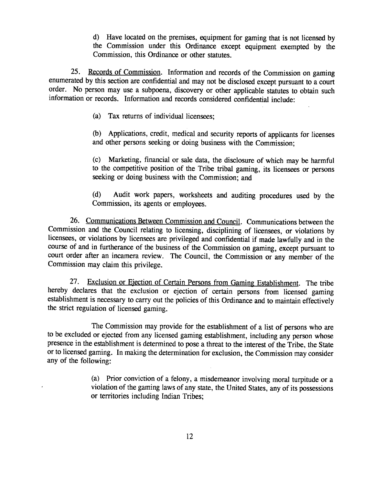d) Have located on the premises, equipment for gaming that is not licensed by the Commission under this Ordinance except equipment exempted by the Commission, this Ordinance or other statutes.

19. The discussion of the premises, equipment for gaming that is not licensed by<br>19. the Commission under this Ordinance except equipment exempted by the<br>19. Commission, this Ordinance or other statutes.<br>25. <u>Records of Co</u> 25. Records of Commission. Information and records of the Commission on gaming enumerated by this section are confidential and may not be disclosed except pursuant to a court order. No person may use a subpoena, discovery or other applicable statutes to obtain such information or records. Information and records considered confidential include:

(a) **Tax** returns of individual licensees;

(b) Applications, credit, medical and security reports of applicants for licenses and other persons seeking or doing business with the Commission;

(c) Marketing, financial or sale data, the disclosure of which may be harmful to the competitive position of the Tribe tribal gaming, its licensees or persons seeking or doing business with the Commission; and

(d) Audit work papers, worksheets and auditing procedures used by the Commission, its agents or employees.

26. Communications Between Commission and Council. Communications between the Commission and the Council relating to licensing, disciplining of licensees, or violations by licensees, or violations by licensees are privileged and confidential if made lawfully and in the course of and in furtherance of the business of the Commission on gaming, except pursuant to court order after an incamera review. The Council, the Commission or any member of the Commission may claim this privilege.

**27.** Exclusion or Ejection of Certain Persons from Gaming Establishment. The tribe hereby declares that the exclusion or ejection of certain persons from licensed gaming establishment is necessary to carry out the policies of this Ordinance and to maintain effectively the strict regulation of licensed gaming.

The Commission may provide for the establishment of a list of persons who are to be excluded or ejected from any licensed gaming establishment, including any person whose presence in the establishment is determined to pose a threat to the interest of the Tribe, the State or to licensed gaming. In making the determination for exclusion, the Commission may consider any of the following:

> (a) Prior conviction of a felony, a misdemeanor involving moral turpitude or a violation of the gaming laws of any state, the United States, any of its possessions or territories including Indian Tribes;